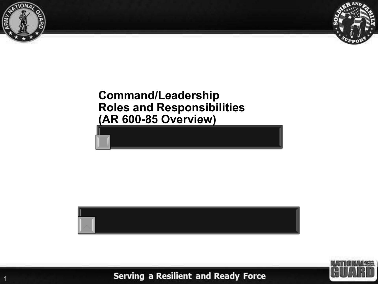

1



### **Command/Leadership Roles and Responsibilities (AR 600-85 Overview)**



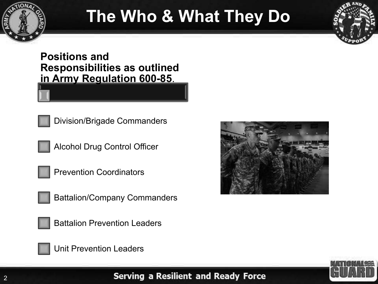

## **The Who & What They Do**



**Positions and Responsibilities as outlined in Army Regulation 600-85**.



Alcohol Drug Control Officer







Battalion Prevention Leaders



Unit Prevention Leaders



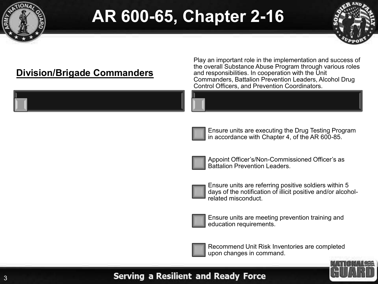



### **Division/Brigade Commanders**

Play an important role in the implementation and success of the overall Substance Abuse Program through various roles and responsibilities. In cooperation with the Unit Commanders, Battalion Prevention Leaders, Alcohol Drug Control Officers, and Prevention Coordinators.



Ensure units are executing the Drug Testing Program in accordance with Chapter 4, of the AR 600-85.



Appoint Officer's/Non-Commissioned Officer's as Battalion Prevention Leaders.



Ensure units are referring positive soldiers within 5 days of the notification of illicit positive and/or alcoholrelated misconduct.



Ensure units are meeting prevention training and education requirements.



Recommend Unit Risk Inventories are completed upon changes in command.

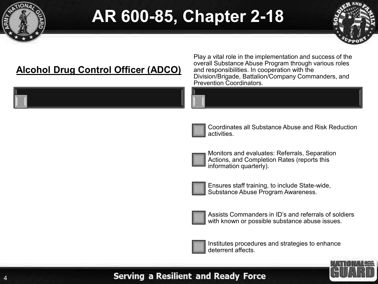



### **Alcohol Drug Control Officer (ADCO)**

Play a vital role in the implementation and success of the overall Substance Abuse Program through various roles and responsibilities. In cooperation with the Division/Brigade, Battalion/Company Commanders, and Prevention Coordinators.





Coordinates all Substance Abuse and Risk Reduction activities.



Monitors and evaluates: Referrals, Separation Actions, and Completion Rates (reports this information quarterly).



Ensures staff training, to include State-wide, Substance Abuse Program Awareness.



Assists Commanders in ID's and referrals of soldiers with known or possible substance abuse issues.



Institutes procedures and strategies to enhance deterrent affects.

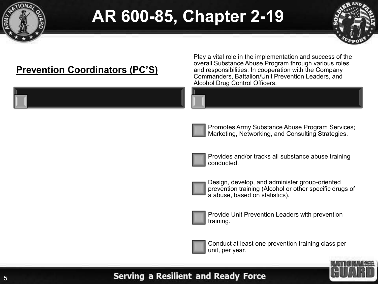



### **Prevention Coordinators (PC'S)**

Play a vital role in the implementation and success of the overall Substance Abuse Program through various roles and responsibilities. In cooperation with the Company Commanders, Battalion/Unit Prevention Leaders, and Alcohol Drug Control Officers.





Promotes Army Substance Abuse Program Services; Marketing, Networking, and Consulting Strategies.



Provides and/or tracks all substance abuse training conducted.



Design, develop, and administer group-oriented prevention training (Alcohol or other specific drugs of a abuse, based on statistics).



Provide Unit Prevention Leaders with prevention training.



Conduct at least one prevention training class per unit, per year.

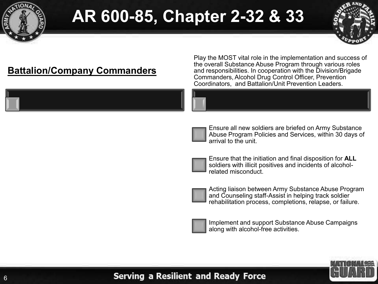



### **Battalion/Company Commanders**

Play the MOST vital role in the implementation and success of the overall Substance Abuse Program through various roles and responsibilities. In cooperation with the Division/Brigade Commanders, Alcohol Drug Control Officer, Prevention Coordinators, and Battalion/Unit Prevention Leaders.





Ensure all new soldiers are briefed on Army Substance Abuse Program Policies and Services, within 30 days of arrival to the unit.



Ensure that the initiation and final disposition for **ALL** soldiers with illicit positives and incidents of alcoholrelated misconduct.



Acting liaison between Army Substance Abuse Program and Counseling staff-Assist in helping track soldier rehabilitation process, completions, relapse, or failure.



Implement and support Substance Abuse Campaigns along with alcohol-free activities.

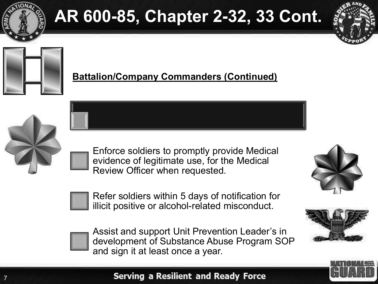

# **AR 600-85, Chapter 2-32, 33 Cont.**





### **Battalion/Company Commanders (Continued)**



Enforce soldiers to promptly provide Medical evidence of legitimate use, for the Medical Review Officer when requested.



Refer soldiers within 5 days of notification for illicit positive or alcohol-related misconduct.



Assist and support Unit Prevention Leader's in development of Substance Abuse Program SOP and sign it at least once a year.





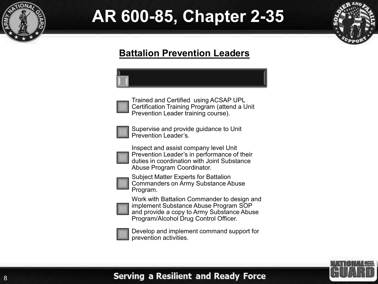



### **Battalion Prevention Leaders**



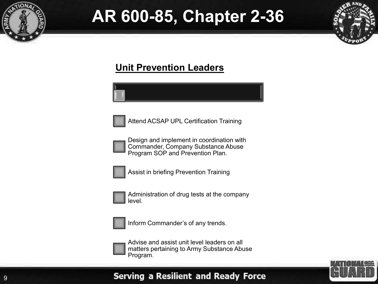



#### **Unit Prevention Leaders**

Attend ACSAP UPL Certification Training

Design and implement in coordination with Commander, Company Substance Abuse Program SOP and Prevention Plan.



Assist in briefing Prevention Training



Administration of drug tests at the company level.



Inform Commander's of any trends.



Advise and assist unit level leaders on all matters pertaining to Army Substance Abuse Program.

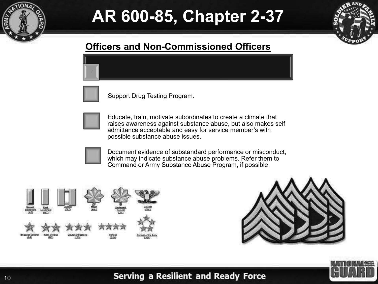



### **Officers and Non-Commissioned Officers**



Support Drug Testing Program.



Educate, train, motivate subordinates to create a climate that raises awareness against substance abuse, but also makes self admittance acceptable and easy for service member's with possible substance abuse issues.



Document evidence of substandard performance or misconduct, which may indicate substance abuse problems. Refer them to Command or Army Substance Abuse Program, if possible.





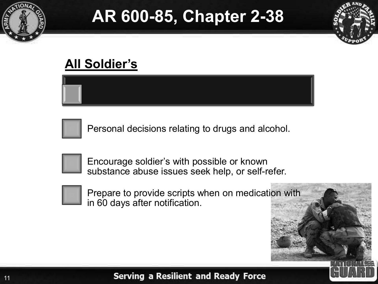



### **All Soldier's**



Personal decisions relating to drugs and alcohol.



Encourage soldier's with possible or known substance abuse issues seek help, or self-refer.



Prepare to provide scripts when on medication with in 60 days after notification.